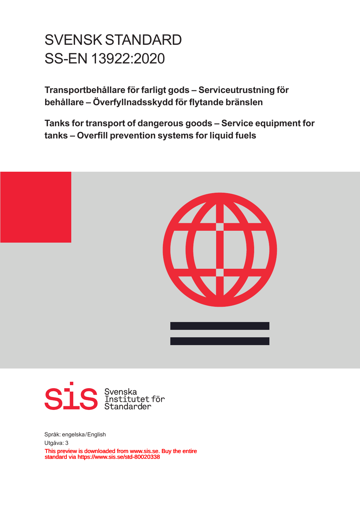# SS-EN 13922:2020 SVENSK STANDARD

**Transportbehållare för farligt gods – Serviceutrustning för behållare – Överfyllnadsskydd för flytande bränslen**

**Tanks for transport of dangerous goods – Service equipment for tanks – Overfill prevention systems for liquid fuels**





Språk: engelska/English Utgåva: 3 This preview is downloaded from www.sis.se. Buy the entire standard via https://www.sis.se/std-80020338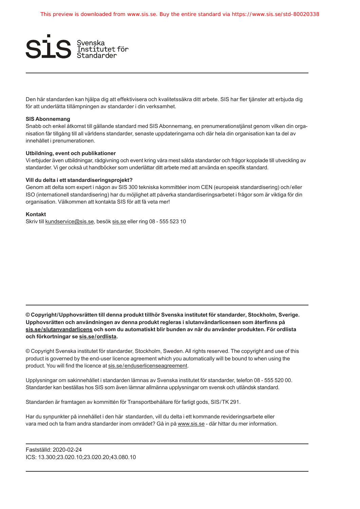

Den här standarden kan hjälpa dig att effektivisera och kvalitetssäkra ditt arbete. SIS har fler tjänster att erbjuda dig för att underlätta tillämpningen av standarder i din verksamhet.

#### **SIS Abonnemang**

Snabb och enkel åtkomst till gällande standard med SIS Abonnemang, en prenumerationstjänst genom vilken din organisation får tillgång till all världens standarder, senaste uppdateringarna och där hela din organisation kan ta del av innehållet i prenumerationen.

#### **Utbildning, event och publikationer**

Vi erbjuder även utbildningar, rådgivning och event kring våra mest sålda standarder och frågor kopplade till utveckling av standarder. Vi ger också ut handböcker som underlättar ditt arbete med att använda en specifik standard.

#### **Vill du delta i ett standardiseringsprojekt?**

Genom att delta som expert i någon av SIS 300 tekniska kommittéer inom CEN (europeisk standardisering) och / eller ISO (internationell standardisering) har du möjlighet att påverka standardiseringsarbetet i frågor som är viktiga för din organisation. Välkommen att kontakta SIS för att få veta mer!

#### **Kontakt**

Skriv till [kundservice@sis.se](mailto:kundservice%40sis.se?subject=kontakt), besök [sis.se](https://www.sis.se) eller ring 08 - 555 523 10

**© Copyright / Upphovsrätten till denna produkt tillhör Svenska institutet för standarder, Stockholm, Sverige. Upphovsrätten och användningen av denna produkt regleras i slutanvändarlicensen som återfinns på [sis.se / slutanvandarlicens](https://www.sis.se/slutanvandarlicens) och som du automatiskt blir bunden av när du använder produkten. För ordlista och förkortningar se sis.se/ [ordlista.](https://www.sis.se/ordlista)**

© Copyright Svenska institutet för standarder, Stockholm, Sweden. All rights reserved. The copyright and use of this product is governed by the end-user licence agreement which you automatically will be bound to when using the product. You will find the licence at sis.se/enduserlicenseagreement.

Upplysningar om sakinnehållet i standarden lämnas av Svenska institutet för standarder, telefon 08 - 555 520 00. Standarder kan beställas hos SIS som även lämnar allmänna upplysningar om svensk och utländsk standard.

Standarden är framtagen av kommittén för Transportbehållare för farligt gods, SIS / TK 291.

Har du synpunkter på innehållet i den här standarden, vill du delta i ett kommande revideringsarbete eller vara med och ta fram andra standarder inom området? Gå in på [www.sis.se](https://www.sis.se) - där hittar du mer information.

Fastställd: 2020-02-24 ICS: 13.300;23.020.10;23.020.20;43.080.10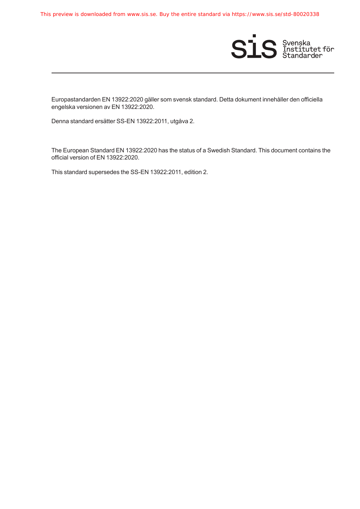

Europastandarden EN 13922:2020 gäller som svensk standard. Detta dokument innehåller den officiella engelska versionen av EN 13922:2020.

Denna standard ersätter SS-EN 13922:2011, utgåva 2.

The European Standard EN 13922:2020 has the status of a Swedish Standard. This document contains the official version of EN 13922:2020.

This standard supersedes the SS-EN 13922:2011, edition 2.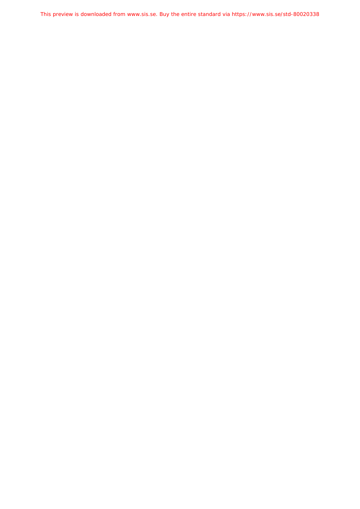This preview is downloaded from www.sis.se. Buy the entire standard via https://www.sis.se/std-80020338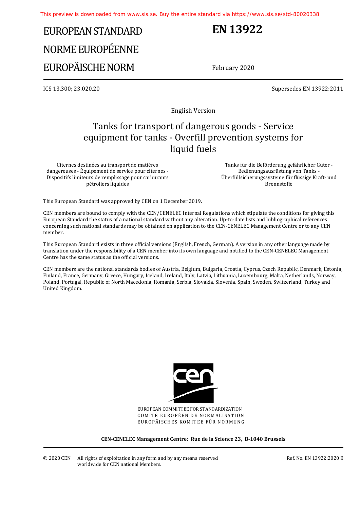# EUROPEAN STANDARD NORME EUROPÉENNE EUROPÄISCHE NORM

# **EN 13922**

February 2020

ICS 13.300; 23.020.20 Supersedes EN 13922:2011

English Version

# Tanks for transport of dangerous goods - Service equipment for tanks - Overfill prevention systems for liquid fuels

Citernes destinées au transport de matières dangereuses - Équipement de service pour citernes - Dispositifs limiteurs de remplissage pour carburants pétroliers liquides

 Tanks für die Beförderung gefährlicher Güter - Bedienungsausrüstung von Tanks - Überfüllsicherungssysteme für flüssige Kraft- und **Brennstoffe** 

This European Standard was approved by CEN on 1 December 2019.

CEN members are bound to comply with the CEN/CENELEC Internal Regulations which stipulate the conditions for giving this European Standard the status of a national standard without any alteration. Up-to-date lists and bibliographical references concerning such national standards may be obtained on application to the CEN-CENELEC Management Centre or to any CEN member.

This European Standard exists in three official versions (English, French, German). A version in any other language made by translation under the responsibility of a CEN member into its own language and notified to the CEN-CENELEC Management Centre has the same status as the official versions.

CEN members are the national standards bodies of Austria, Belgium, Bulgaria, Croatia, Cyprus, Czech Republic, Denmark, Estonia, Finland, France, Germany, Greece, Hungary, Iceland, Ireland, Italy, Latvia, Lithuania, Luxembourg, Malta, Netherlands, Norway, Poland, Portugal, Republic of North Macedonia, Romania, Serbia, Slovakia, Slovenia, Spain, Sweden, Switzerland, Turkey and United Kingdom.



EUROPEAN COMMITTEE FOR STANDARDIZATION COMITÉ EUROPÉEN DE NORMALISATION EUROPÄISCHES KOMITEE FÜR NORMUNG

**CEN-CENELEC Management Centre: Rue de la Science 23, B-1040 Brussels**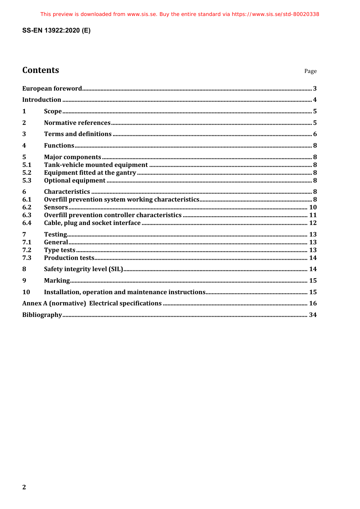Page

## SS-EN 13922:2020 (E)

# **Contents**

| 1                |  |  |  |
|------------------|--|--|--|
| $\overline{2}$   |  |  |  |
| 3                |  |  |  |
| $\boldsymbol{4}$ |  |  |  |
| 5                |  |  |  |
| 5.1              |  |  |  |
| 5.2              |  |  |  |
| 5.3              |  |  |  |
|                  |  |  |  |
| 6                |  |  |  |
| 6.1              |  |  |  |
| 6.2              |  |  |  |
| 6.3              |  |  |  |
|                  |  |  |  |
| 6.4              |  |  |  |
| 7                |  |  |  |
| 7.1              |  |  |  |
| 7.2              |  |  |  |
|                  |  |  |  |
| 7.3              |  |  |  |
| 8                |  |  |  |
| 9                |  |  |  |
| 10               |  |  |  |
|                  |  |  |  |
|                  |  |  |  |
|                  |  |  |  |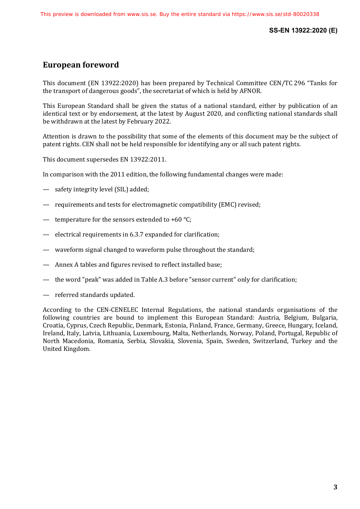# **European foreword**

This document (EN 13922:2020) has been prepared by Technical Committee CEN/TC 296 "Tanks for the transport of dangerous goods", the secretariat of which is held by AFNOR.

This European Standard shall be given the status of a national standard, either by publication of an identical text or by endorsement, at the latest by August 2020, and conflicting national standards shall be withdrawn at the latest by February 2022.

Attention is drawn to the possibility that some of the elements of this document may be the subject of patent rights. CEN shall not be held responsible for identifying any or all such patent rights.

This document supersedes EN 13922:2011.

In comparison with the 2011 edition, the following fundamental changes were made:

- safety integrity level (SIL) added;
- requirements and tests for electromagnetic compatibility (EMC) revised;
- temperature for the sensors extended to  $+60^{\circ}$ C;
- electrical requirements in 6.3.7 expanded for clarification;
- waveform signal changed to waveform pulse throughout the standard;
- Annex A tables and figures revised to reflect installed base;
- the word "peak" was added in Table A.3 before "sensor current" only for clarification;
- referred standards updated.

According to the CEN-CENELEC Internal Regulations, the national standards organisations of the following countries are bound to implement this European Standard: Austria, Belgium, Bulgaria, Croatia, Cyprus, Czech Republic, Denmark, Estonia, Finland, France, Germany, Greece, Hungary, Iceland, Ireland, Italy, Latvia, Lithuania, Luxembourg, Malta, Netherlands, Norway, Poland, Portugal, Republic of North Macedonia, Romania, Serbia, Slovakia, Slovenia, Spain, Sweden, Switzerland, Turkey and the United Kingdom.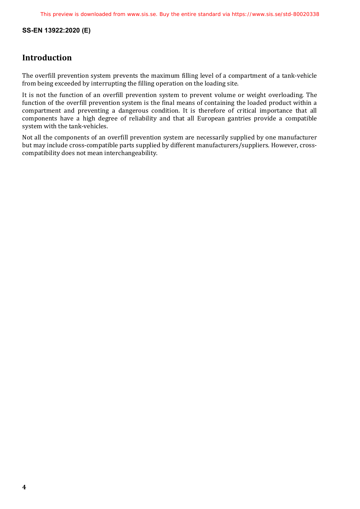## **Introduction**

The overfill prevention system prevents the maximum filling level of a compartment of a tank-vehicle from being exceeded by interrupting the filling operation on the loading site.

It is not the function of an overfill prevention system to prevent volume or weight overloading. The function of the overfill prevention system is the final means of containing the loaded product within a compartment and preventing a dangerous condition. It is therefore of critical importance that all components have a high degree of reliability and that all European gantries provide a compatible system with the tank-vehicles.

Not all the components of an overfill prevention system are necessarily supplied by one manufacturer but may include cross-compatible parts supplied by different manufacturers/suppliers. However, crosscompatibility does not mean interchangeability.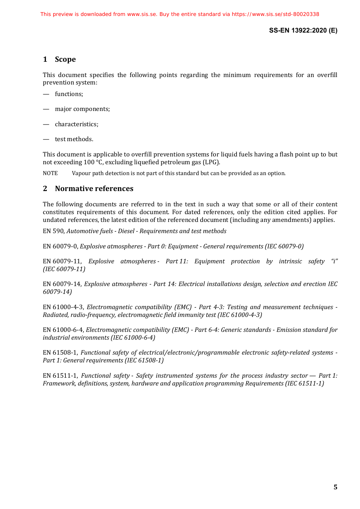### **1 Scope**

This document specifies the following points regarding the minimum requirements for an overfill prevention system:

- functions;
- major components;
- characteristics;
- test methods.

This document is applicable to overfill prevention systems for liquid fuels having a flash point up to but not exceeding 100 °C, excluding liquefied petroleum gas (LPG).

NOTE Vapour path detection is not part of this standard but can be provided as an option.

#### **2 Normative references**

The following documents are referred to in the text in such a way that some or all of their content constitutes requirements of this document. For dated references, only the edition cited applies. For undated references, the latest edition of the referenced document (including any amendments) applies.

EN 590, *Automotive fuels - Diesel - Requirements and test methods*

EN 60079-0, *Explosive atmospheres - Part 0: Equipment - General requirements (IEC 60079-0)*

EN 60079-11, *Explosive atmospheres - Part 11: Equipment protection by intrinsic safety "i" (IEC 60079-11)*

EN 60079-14, *Explosive atmospheres - Part 14: Electrical installations design, selection and erection IEC 60079-14)*

EN 61000-4-3, *Electromagnetic compatibility (EMC) - Part 4-3: Testing and measurement techniques - Radiated, radio-frequency, electromagnetic field immunity test (IEC 61000-4-3)*

EN 61000-6-4, *Electromagnetic compatibility (EMC) - Part 6-4: Generic standards - Emission standard for industrial environments (IEC 61000-6-4)*

EN 61508-1, *Functional safety of electrical/electronic/programmable electronic safety-related systems - Part 1: General requirements (IEC 61508-1)*

EN 61511-1, *Functional safety - Safety instrumented systems for the process industry sector — Part 1: Framework, definitions, system, hardware and application programming Requirements (IEC 61511-1)*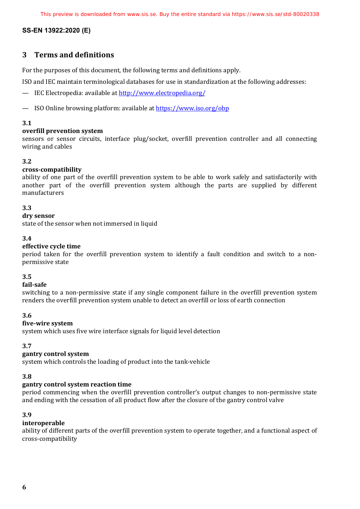### **3 Terms and definitions**

For the purposes of this document, the following terms and definitions apply.

ISO and IEC maintain terminological databases for use in standardization at the following addresses:

- IEC Electropedia: available at http://www.electropedia.org/
- ISO Online browsing platform: available at https://www.iso.org/obp

#### **3.1**

#### **overfill prevention system**

sensors or sensor circuits, interface plug/socket, overfill prevention controller and all connecting wiring and cables

#### **3.2**

#### **cross-compatibility**

ability of one part of the overfill prevention system to be able to work safely and satisfactorily with another part of the overfill prevention system although the parts are supplied by different manufacturers

#### **3.3**

#### **dry sensor**

state of the sensor when not immersed in liquid

#### **3.4**

#### **effective cycle time**

period taken for the overfill prevention system to identify a fault condition and switch to a nonpermissive state

#### **3.5**

#### **fail-safe**

switching to a non-permissive state if any single component failure in the overfill prevention system renders the overfill prevention system unable to detect an overfill or loss of earth connection

#### **3.6**

#### **five-wire system**

system which uses five wire interface signals for liquid level detection

#### **3.7**

#### **gantry control system**

system which controls the loading of product into the tank-vehicle

#### **3.8**

#### **gantry control system reaction time**

period commencing when the overfill prevention controller's output changes to non-permissive state and ending with the cessation of all product flow after the closure of the gantry control valve

#### **3.9**

#### **interoperable**

ability of different parts of the overfill prevention system to operate together, and a functional aspect of cross-compatibility